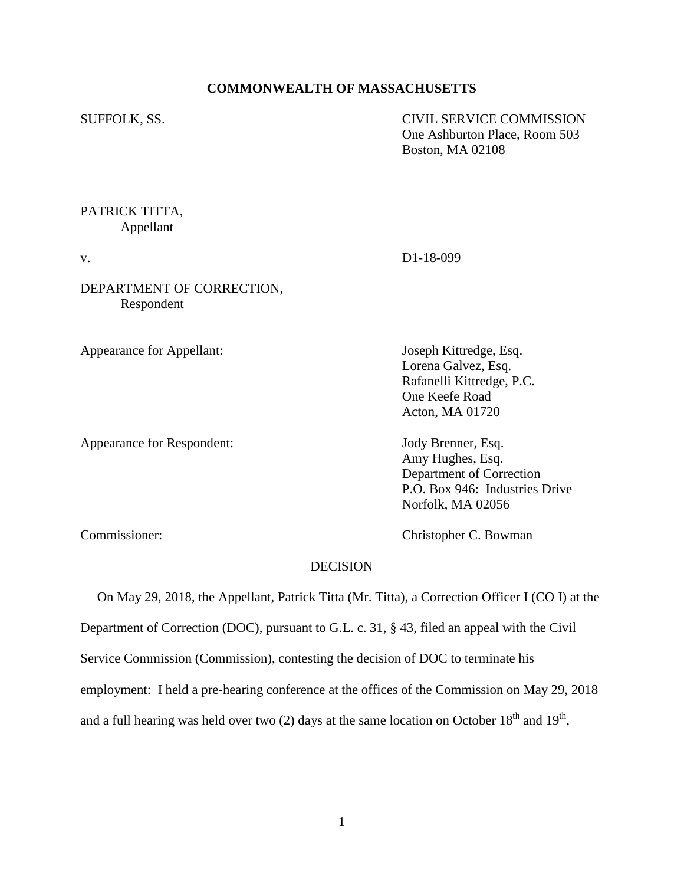### **COMMONWEALTH OF MASSACHUSETTS**

SUFFOLK, SS. CIVIL SERVICE COMMISSION One Ashburton Place, Room 503 Boston, MA 02108

# PATRICK TITTA, Appellant

v. D1-18-099

DEPARTMENT OF CORRECTION, Respondent

Appearance for Appellant: Joseph Kittredge, Esq.

Appearance for Respondent: Jody Brenner, Esq.

Lorena Galvez, Esq. Rafanelli Kittredge, P.C. One Keefe Road Acton, MA 01720

Amy Hughes, Esq. Department of Correction P.O. Box 946: Industries Drive Norfolk, MA 02056

Commissioner: Christopher C. Bowman

### **DECISION**

On May 29, 2018, the Appellant, Patrick Titta (Mr. Titta), a Correction Officer I (CO I) at the

Department of Correction (DOC), pursuant to G.L. c. 31, § 43, filed an appeal with the Civil

Service Commission (Commission), contesting the decision of DOC to terminate his

employment: I held a pre-hearing conference at the offices of the Commission on May 29, 2018

and a full hearing was held over two (2) days at the same location on October  $18<sup>th</sup>$  and  $19<sup>th</sup>$ ,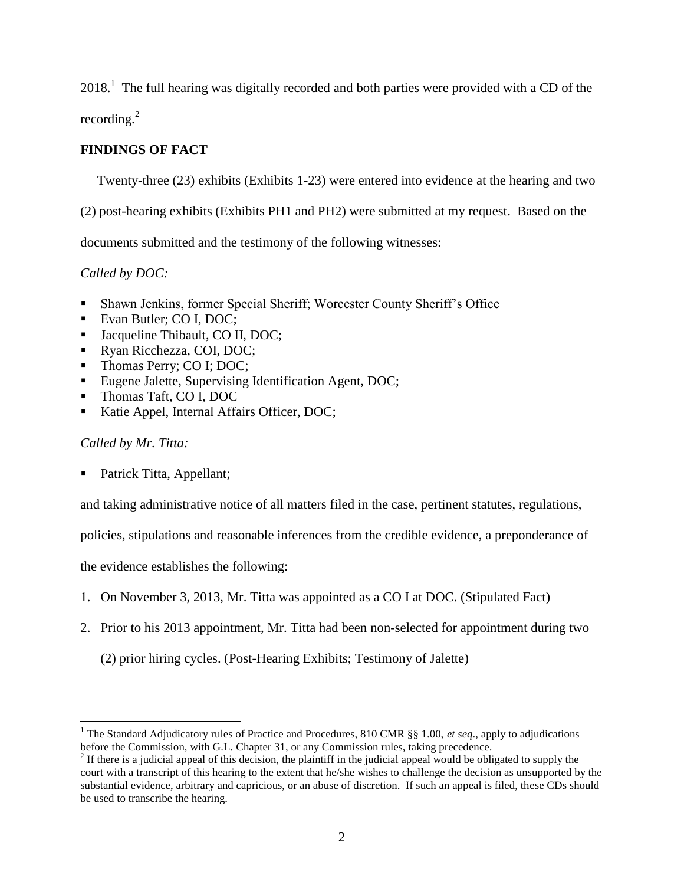$2018<sup>1</sup>$ . The full hearing was digitally recorded and both parties were provided with a CD of the recording. $^{2}$ 

# **FINDINGS OF FACT**

Twenty-three (23) exhibits (Exhibits 1-23) were entered into evidence at the hearing and two

(2) post-hearing exhibits (Exhibits PH1 and PH2) were submitted at my request. Based on the

documents submitted and the testimony of the following witnesses:

*Called by DOC:*

- Shawn Jenkins, former Special Sheriff; Worcester County Sheriff's Office
- Evan Butler; CO I, DOC;
- Jacqueline Thibault, CO II, DOC;
- Ryan Ricchezza, COI, DOC;
- Thomas Perry; CO I; DOC;
- Eugene Jalette, Supervising Identification Agent, DOC;
- Thomas Taft, CO I, DOC
- Katie Appel, Internal Affairs Officer, DOC;

## *Called by Mr. Titta:*

 $\overline{a}$ 

Patrick Titta, Appellant;

and taking administrative notice of all matters filed in the case, pertinent statutes, regulations,

policies, stipulations and reasonable inferences from the credible evidence, a preponderance of

the evidence establishes the following:

- 1. On November 3, 2013, Mr. Titta was appointed as a CO I at DOC. (Stipulated Fact)
- 2. Prior to his 2013 appointment, Mr. Titta had been non-selected for appointment during two

(2) prior hiring cycles. (Post-Hearing Exhibits; Testimony of Jalette)

<sup>&</sup>lt;sup>1</sup> The Standard Adjudicatory rules of Practice and Procedures, 810 CMR §§ 1.00, *et seq.*, apply to adjudications before the Commission, with G.L. Chapter 31, or any Commission rules, taking precedence.

 $2<sup>2</sup>$  If there is a judicial appeal of this decision, the plaintiff in the judicial appeal would be obligated to supply the court with a transcript of this hearing to the extent that he/she wishes to challenge the decision as unsupported by the substantial evidence, arbitrary and capricious, or an abuse of discretion. If such an appeal is filed, these CDs should be used to transcribe the hearing.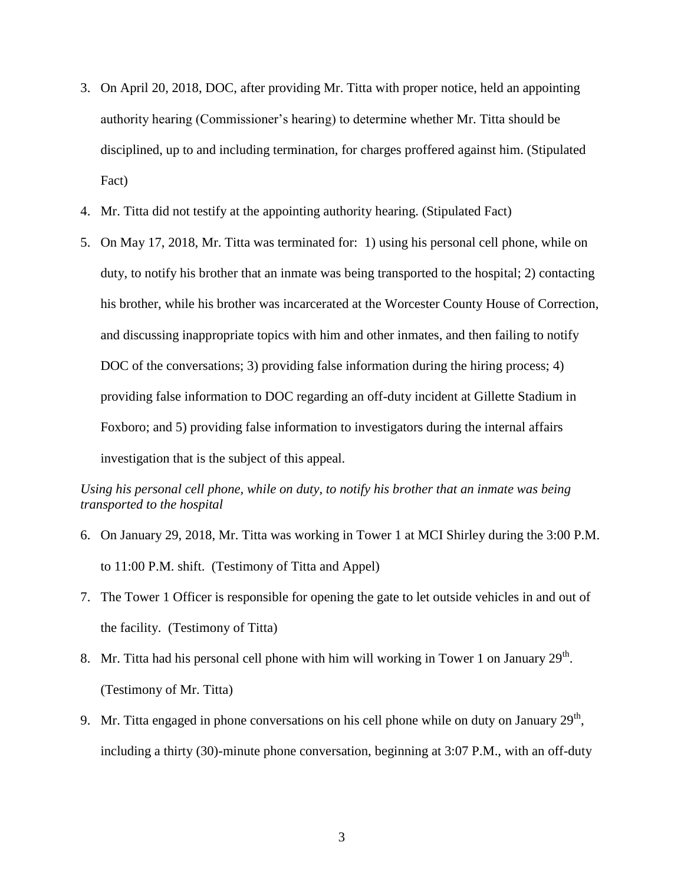- 3. On April 20, 2018, DOC, after providing Mr. Titta with proper notice, held an appointing authority hearing (Commissioner's hearing) to determine whether Mr. Titta should be disciplined, up to and including termination, for charges proffered against him. (Stipulated Fact)
- 4. Mr. Titta did not testify at the appointing authority hearing. (Stipulated Fact)
- 5. On May 17, 2018, Mr. Titta was terminated for: 1) using his personal cell phone, while on duty, to notify his brother that an inmate was being transported to the hospital; 2) contacting his brother, while his brother was incarcerated at the Worcester County House of Correction, and discussing inappropriate topics with him and other inmates, and then failing to notify DOC of the conversations; 3) providing false information during the hiring process; 4) providing false information to DOC regarding an off-duty incident at Gillette Stadium in Foxboro; and 5) providing false information to investigators during the internal affairs investigation that is the subject of this appeal.

*Using his personal cell phone, while on duty, to notify his brother that an inmate was being transported to the hospital*

- 6. On January 29, 2018, Mr. Titta was working in Tower 1 at MCI Shirley during the 3:00 P.M. to 11:00 P.M. shift. (Testimony of Titta and Appel)
- 7. The Tower 1 Officer is responsible for opening the gate to let outside vehicles in and out of the facility. (Testimony of Titta)
- 8. Mr. Titta had his personal cell phone with him will working in Tower 1 on January  $29<sup>th</sup>$ . (Testimony of Mr. Titta)
- 9. Mr. Titta engaged in phone conversations on his cell phone while on duty on January  $29<sup>th</sup>$ , including a thirty (30)-minute phone conversation, beginning at 3:07 P.M., with an off-duty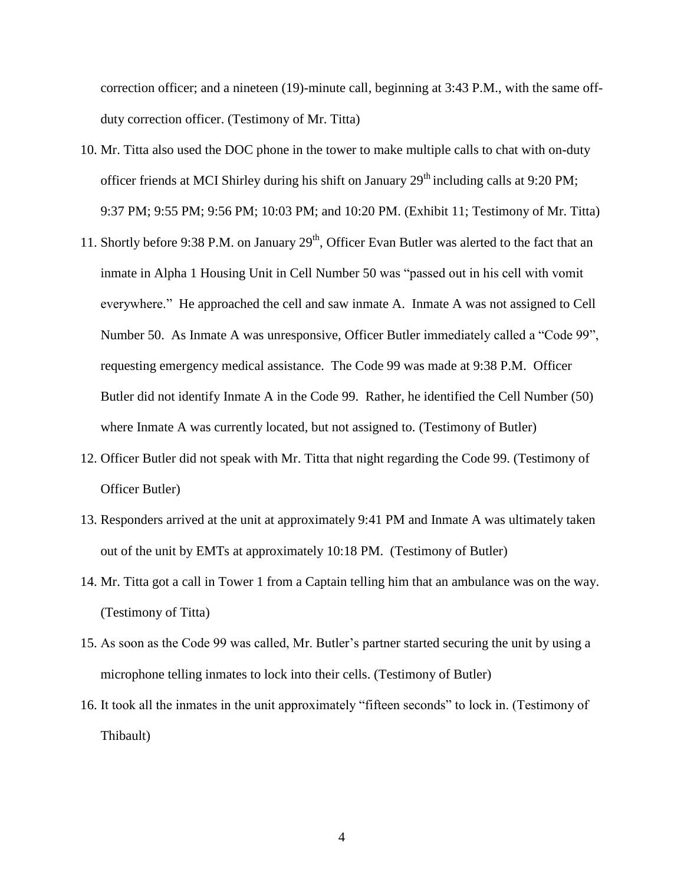correction officer; and a nineteen (19)-minute call, beginning at 3:43 P.M., with the same offduty correction officer. (Testimony of Mr. Titta)

- 10. Mr. Titta also used the DOC phone in the tower to make multiple calls to chat with on-duty officer friends at MCI Shirley during his shift on January  $29<sup>th</sup>$  including calls at 9:20 PM; 9:37 PM; 9:55 PM; 9:56 PM; 10:03 PM; and 10:20 PM. (Exhibit 11; Testimony of Mr. Titta)
- 11. Shortly before 9:38 P.M. on January  $29<sup>th</sup>$ , Officer Evan Butler was alerted to the fact that an inmate in Alpha 1 Housing Unit in Cell Number 50 was "passed out in his cell with vomit everywhere." He approached the cell and saw inmate A. Inmate A was not assigned to Cell Number 50. As Inmate A was unresponsive, Officer Butler immediately called a "Code 99", requesting emergency medical assistance. The Code 99 was made at 9:38 P.M. Officer Butler did not identify Inmate A in the Code 99. Rather, he identified the Cell Number (50) where Inmate A was currently located, but not assigned to. (Testimony of Butler)
- 12. Officer Butler did not speak with Mr. Titta that night regarding the Code 99. (Testimony of Officer Butler)
- 13. Responders arrived at the unit at approximately 9:41 PM and Inmate A was ultimately taken out of the unit by EMTs at approximately 10:18 PM. (Testimony of Butler)
- 14. Mr. Titta got a call in Tower 1 from a Captain telling him that an ambulance was on the way. (Testimony of Titta)
- 15. As soon as the Code 99 was called, Mr. Butler's partner started securing the unit by using a microphone telling inmates to lock into their cells. (Testimony of Butler)
- 16. It took all the inmates in the unit approximately "fifteen seconds" to lock in. (Testimony of Thibault)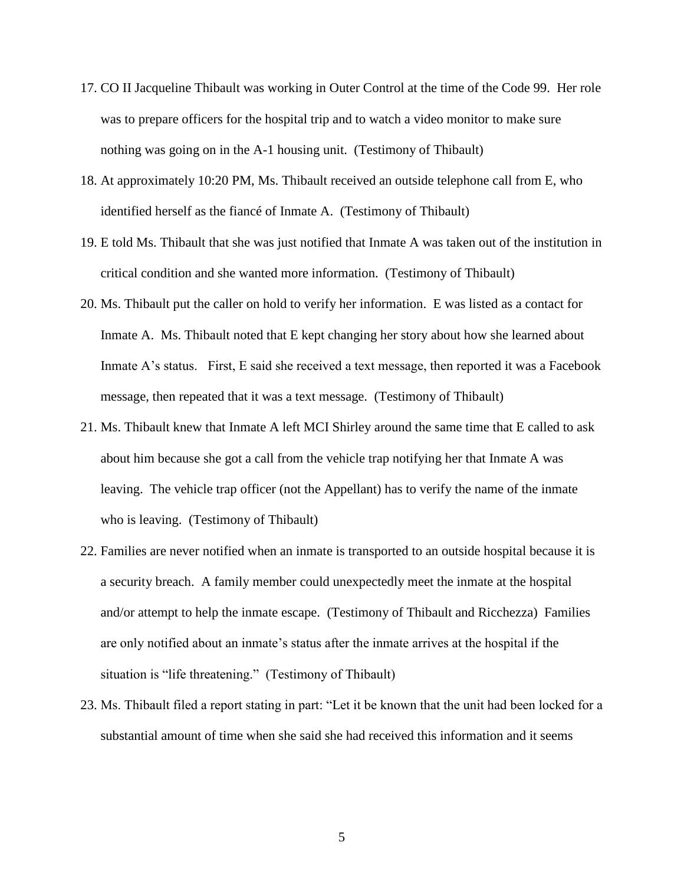- 17. CO II Jacqueline Thibault was working in Outer Control at the time of the Code 99. Her role was to prepare officers for the hospital trip and to watch a video monitor to make sure nothing was going on in the A-1 housing unit. (Testimony of Thibault)
- 18. At approximately 10:20 PM, Ms. Thibault received an outside telephone call from E, who identified herself as the fiancé of Inmate A. (Testimony of Thibault)
- 19. E told Ms. Thibault that she was just notified that Inmate A was taken out of the institution in critical condition and she wanted more information. (Testimony of Thibault)
- 20. Ms. Thibault put the caller on hold to verify her information. E was listed as a contact for Inmate A. Ms. Thibault noted that E kept changing her story about how she learned about Inmate A's status. First, E said she received a text message, then reported it was a Facebook message, then repeated that it was a text message. (Testimony of Thibault)
- 21. Ms. Thibault knew that Inmate A left MCI Shirley around the same time that E called to ask about him because she got a call from the vehicle trap notifying her that Inmate A was leaving. The vehicle trap officer (not the Appellant) has to verify the name of the inmate who is leaving. (Testimony of Thibault)
- 22. Families are never notified when an inmate is transported to an outside hospital because it is a security breach. A family member could unexpectedly meet the inmate at the hospital and/or attempt to help the inmate escape. (Testimony of Thibault and Ricchezza) Families are only notified about an inmate's status after the inmate arrives at the hospital if the situation is "life threatening." (Testimony of Thibault)
- 23. Ms. Thibault filed a report stating in part: "Let it be known that the unit had been locked for a substantial amount of time when she said she had received this information and it seems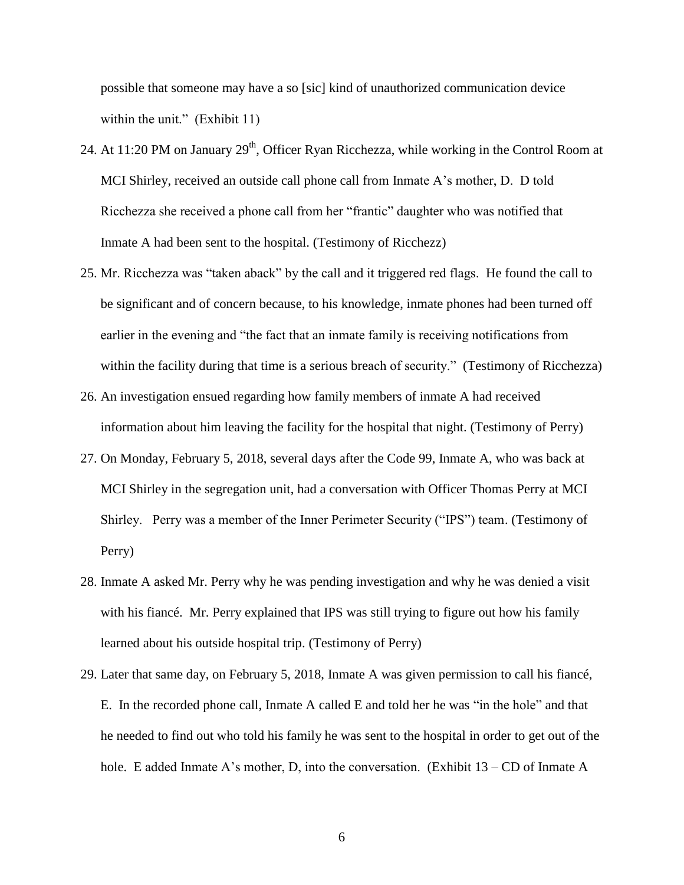possible that someone may have a so [sic] kind of unauthorized communication device within the unit." (Exhibit 11)

- 24. At 11:20 PM on January  $29<sup>th</sup>$ , Officer Ryan Ricchezza, while working in the Control Room at MCI Shirley, received an outside call phone call from Inmate A's mother, D. D told Ricchezza she received a phone call from her "frantic" daughter who was notified that Inmate A had been sent to the hospital. (Testimony of Ricchezz)
- 25. Mr. Ricchezza was "taken aback" by the call and it triggered red flags. He found the call to be significant and of concern because, to his knowledge, inmate phones had been turned off earlier in the evening and "the fact that an inmate family is receiving notifications from within the facility during that time is a serious breach of security." (Testimony of Ricchezza)
- 26. An investigation ensued regarding how family members of inmate A had received information about him leaving the facility for the hospital that night. (Testimony of Perry)
- 27. On Monday, February 5, 2018, several days after the Code 99, Inmate A, who was back at MCI Shirley in the segregation unit, had a conversation with Officer Thomas Perry at MCI Shirley. Perry was a member of the Inner Perimeter Security ("IPS") team. (Testimony of Perry)
- 28. Inmate A asked Mr. Perry why he was pending investigation and why he was denied a visit with his fiancé. Mr. Perry explained that IPS was still trying to figure out how his family learned about his outside hospital trip. (Testimony of Perry)
- 29. Later that same day, on February 5, 2018, Inmate A was given permission to call his fiancé, E. In the recorded phone call, Inmate A called E and told her he was "in the hole" and that he needed to find out who told his family he was sent to the hospital in order to get out of the hole. E added Inmate A's mother, D, into the conversation. (Exhibit 13 – CD of Inmate A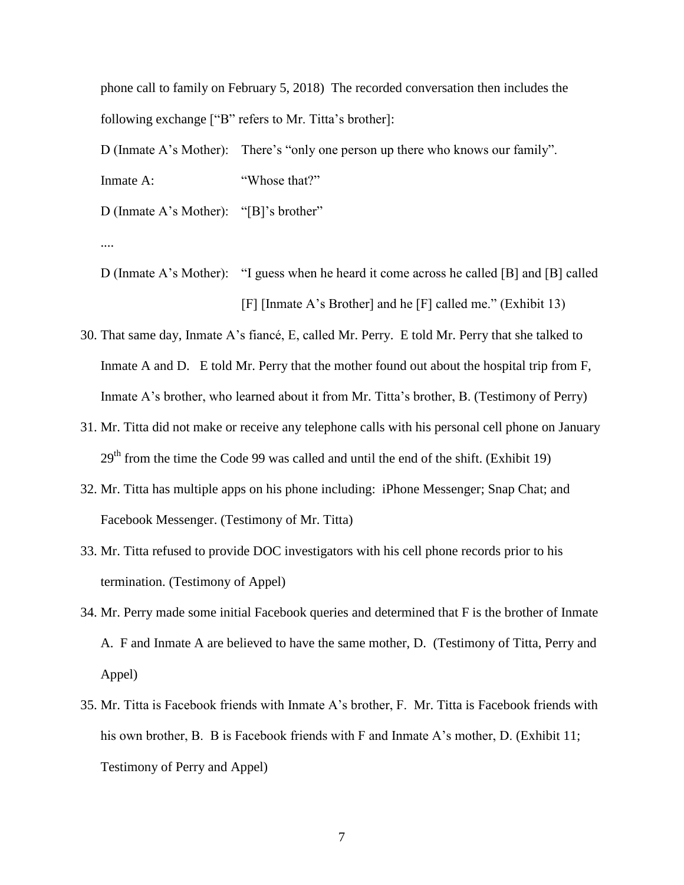phone call to family on February 5, 2018) The recorded conversation then includes the following exchange ["B" refers to Mr. Titta's brother]:

D (Inmate A's Mother): There's "only one person up there who knows our family". Inmate A: "Whose that?"

D (Inmate A's Mother): "[B]'s brother"

....

D (Inmate A's Mother): "I guess when he heard it come across he called [B] and [B] called [F] [Inmate A's Brother] and he [F] called me." (Exhibit 13)

- 30. That same day, Inmate A's fiancé, E, called Mr. Perry. E told Mr. Perry that she talked to Inmate A and D. E told Mr. Perry that the mother found out about the hospital trip from F, Inmate A's brother, who learned about it from Mr. Titta's brother, B. (Testimony of Perry)
- 31. Mr. Titta did not make or receive any telephone calls with his personal cell phone on January  $29<sup>th</sup>$  from the time the Code 99 was called and until the end of the shift. (Exhibit 19)
- 32. Mr. Titta has multiple apps on his phone including: iPhone Messenger; Snap Chat; and Facebook Messenger. (Testimony of Mr. Titta)
- 33. Mr. Titta refused to provide DOC investigators with his cell phone records prior to his termination. (Testimony of Appel)
- 34. Mr. Perry made some initial Facebook queries and determined that F is the brother of Inmate A. F and Inmate A are believed to have the same mother, D. (Testimony of Titta, Perry and Appel)
- 35. Mr. Titta is Facebook friends with Inmate A's brother, F. Mr. Titta is Facebook friends with his own brother, B. B is Facebook friends with F and Inmate A's mother, D. (Exhibit 11; Testimony of Perry and Appel)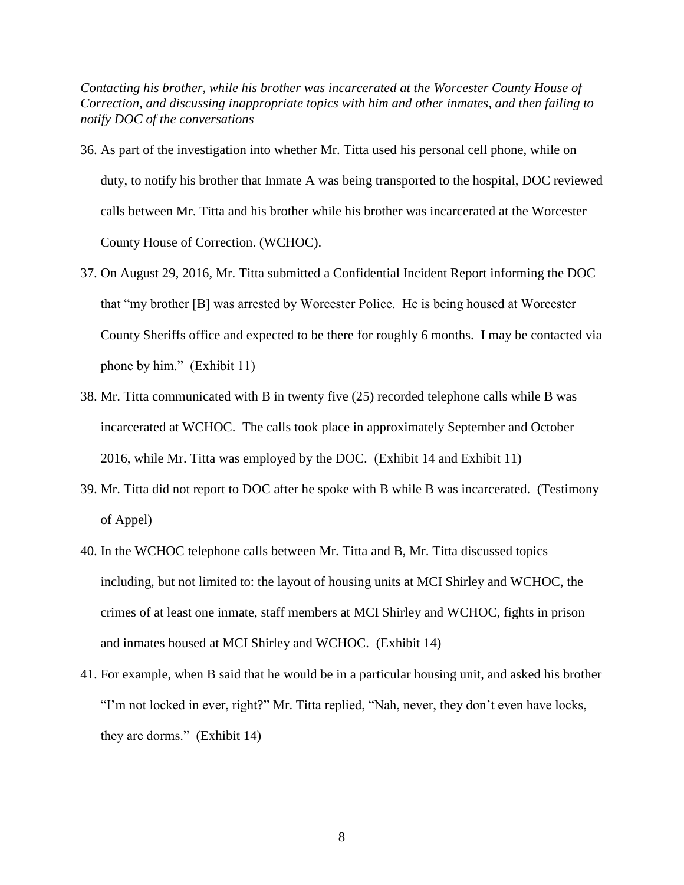*Contacting his brother, while his brother was incarcerated at the Worcester County House of Correction, and discussing inappropriate topics with him and other inmates, and then failing to notify DOC of the conversations*

- 36. As part of the investigation into whether Mr. Titta used his personal cell phone, while on duty, to notify his brother that Inmate A was being transported to the hospital, DOC reviewed calls between Mr. Titta and his brother while his brother was incarcerated at the Worcester County House of Correction. (WCHOC).
- 37. On August 29, 2016, Mr. Titta submitted a Confidential Incident Report informing the DOC that "my brother [B] was arrested by Worcester Police. He is being housed at Worcester County Sheriffs office and expected to be there for roughly 6 months. I may be contacted via phone by him." (Exhibit 11)
- 38. Mr. Titta communicated with B in twenty five (25) recorded telephone calls while B was incarcerated at WCHOC. The calls took place in approximately September and October 2016, while Mr. Titta was employed by the DOC. (Exhibit 14 and Exhibit 11)
- 39. Mr. Titta did not report to DOC after he spoke with B while B was incarcerated. (Testimony of Appel)
- 40. In the WCHOC telephone calls between Mr. Titta and B, Mr. Titta discussed topics including, but not limited to: the layout of housing units at MCI Shirley and WCHOC, the crimes of at least one inmate, staff members at MCI Shirley and WCHOC, fights in prison and inmates housed at MCI Shirley and WCHOC. (Exhibit 14)
- 41. For example, when B said that he would be in a particular housing unit, and asked his brother "I'm not locked in ever, right?" Mr. Titta replied, "Nah, never, they don't even have locks, they are dorms." (Exhibit 14)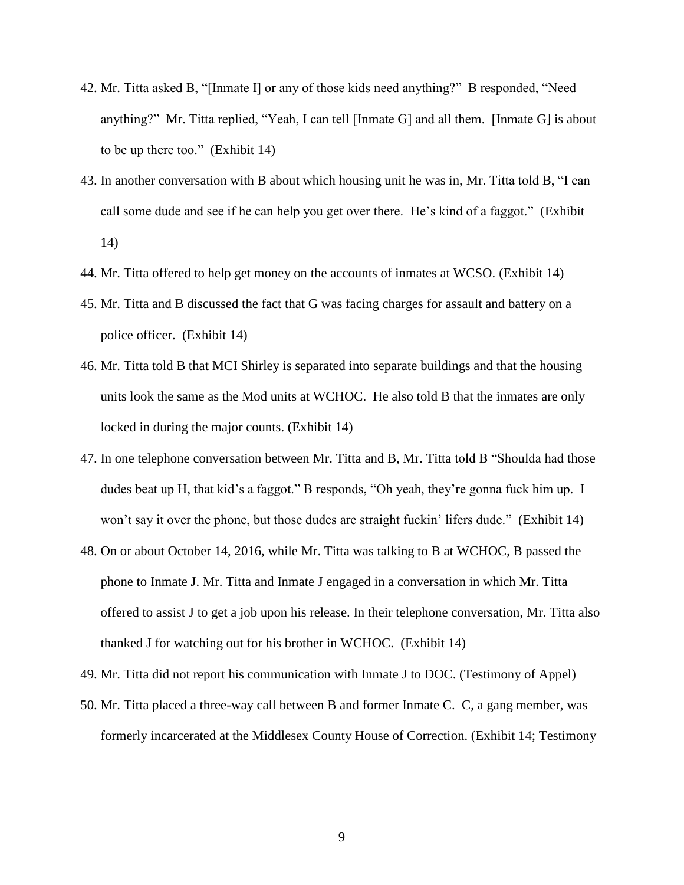- 42. Mr. Titta asked B, "[Inmate I] or any of those kids need anything?" B responded, "Need anything?" Mr. Titta replied, "Yeah, I can tell [Inmate G] and all them. [Inmate G] is about to be up there too." (Exhibit 14)
- 43. In another conversation with B about which housing unit he was in, Mr. Titta told B, "I can call some dude and see if he can help you get over there. He's kind of a faggot." (Exhibit 14)
- 44. Mr. Titta offered to help get money on the accounts of inmates at WCSO. (Exhibit 14)
- 45. Mr. Titta and B discussed the fact that G was facing charges for assault and battery on a police officer. (Exhibit 14)
- 46. Mr. Titta told B that MCI Shirley is separated into separate buildings and that the housing units look the same as the Mod units at WCHOC. He also told B that the inmates are only locked in during the major counts. (Exhibit 14)
- 47. In one telephone conversation between Mr. Titta and B, Mr. Titta told B "Shoulda had those dudes beat up H, that kid's a faggot." B responds, "Oh yeah, they're gonna fuck him up. I won't say it over the phone, but those dudes are straight fuckin' lifers dude." (Exhibit 14)
- 48. On or about October 14, 2016, while Mr. Titta was talking to B at WCHOC, B passed the phone to Inmate J. Mr. Titta and Inmate J engaged in a conversation in which Mr. Titta offered to assist J to get a job upon his release. In their telephone conversation, Mr. Titta also thanked J for watching out for his brother in WCHOC. (Exhibit 14)
- 49. Mr. Titta did not report his communication with Inmate J to DOC. (Testimony of Appel)
- 50. Mr. Titta placed a three-way call between B and former Inmate C. C, a gang member, was formerly incarcerated at the Middlesex County House of Correction. (Exhibit 14; Testimony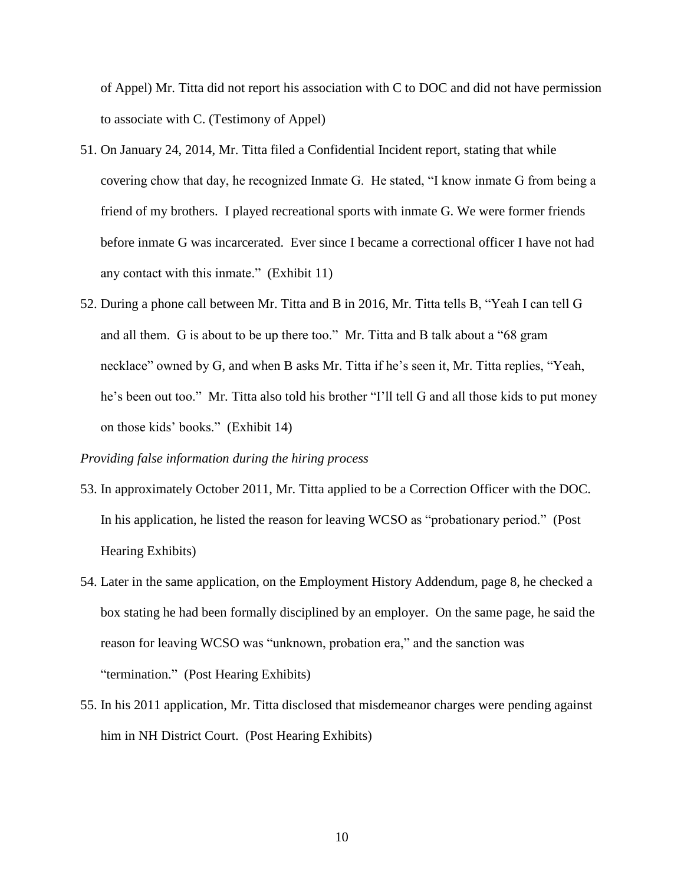of Appel) Mr. Titta did not report his association with C to DOC and did not have permission to associate with C. (Testimony of Appel)

- 51. On January 24, 2014, Mr. Titta filed a Confidential Incident report, stating that while covering chow that day, he recognized Inmate G. He stated, "I know inmate G from being a friend of my brothers. I played recreational sports with inmate G. We were former friends before inmate G was incarcerated. Ever since I became a correctional officer I have not had any contact with this inmate." (Exhibit 11)
- 52. During a phone call between Mr. Titta and B in 2016, Mr. Titta tells B, "Yeah I can tell G and all them. G is about to be up there too." Mr. Titta and B talk about a "68 gram necklace" owned by G, and when B asks Mr. Titta if he's seen it, Mr. Titta replies, "Yeah, he's been out too." Mr. Titta also told his brother "I'll tell G and all those kids to put money on those kids' books." (Exhibit 14)

### *Providing false information during the hiring process*

- 53. In approximately October 2011, Mr. Titta applied to be a Correction Officer with the DOC. In his application, he listed the reason for leaving WCSO as "probationary period." (Post Hearing Exhibits)
- 54. Later in the same application, on the Employment History Addendum, page 8, he checked a box stating he had been formally disciplined by an employer. On the same page, he said the reason for leaving WCSO was "unknown, probation era," and the sanction was "termination." (Post Hearing Exhibits)
- 55. In his 2011 application, Mr. Titta disclosed that misdemeanor charges were pending against him in NH District Court. (Post Hearing Exhibits)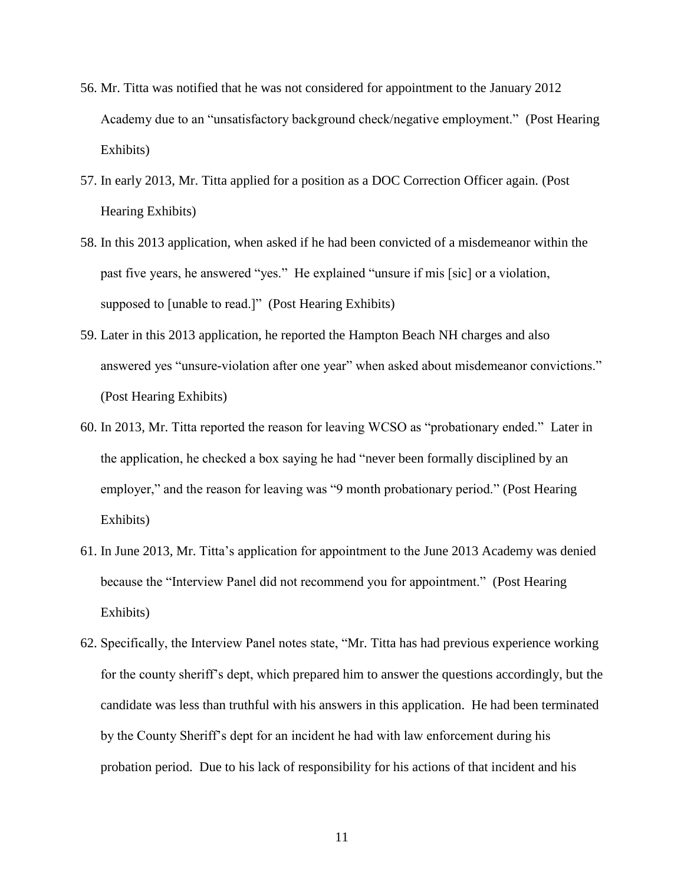- 56. Mr. Titta was notified that he was not considered for appointment to the January 2012 Academy due to an "unsatisfactory background check/negative employment." (Post Hearing Exhibits)
- 57. In early 2013, Mr. Titta applied for a position as a DOC Correction Officer again. (Post Hearing Exhibits)
- 58. In this 2013 application, when asked if he had been convicted of a misdemeanor within the past five years, he answered "yes." He explained "unsure if mis [sic] or a violation, supposed to [unable to read.]" (Post Hearing Exhibits)
- 59. Later in this 2013 application, he reported the Hampton Beach NH charges and also answered yes "unsure-violation after one year" when asked about misdemeanor convictions." (Post Hearing Exhibits)
- 60. In 2013, Mr. Titta reported the reason for leaving WCSO as "probationary ended." Later in the application, he checked a box saying he had "never been formally disciplined by an employer," and the reason for leaving was "9 month probationary period." (Post Hearing Exhibits)
- 61. In June 2013, Mr. Titta's application for appointment to the June 2013 Academy was denied because the "Interview Panel did not recommend you for appointment." (Post Hearing Exhibits)
- 62. Specifically, the Interview Panel notes state, "Mr. Titta has had previous experience working for the county sheriff's dept, which prepared him to answer the questions accordingly, but the candidate was less than truthful with his answers in this application. He had been terminated by the County Sheriff's dept for an incident he had with law enforcement during his probation period. Due to his lack of responsibility for his actions of that incident and his

11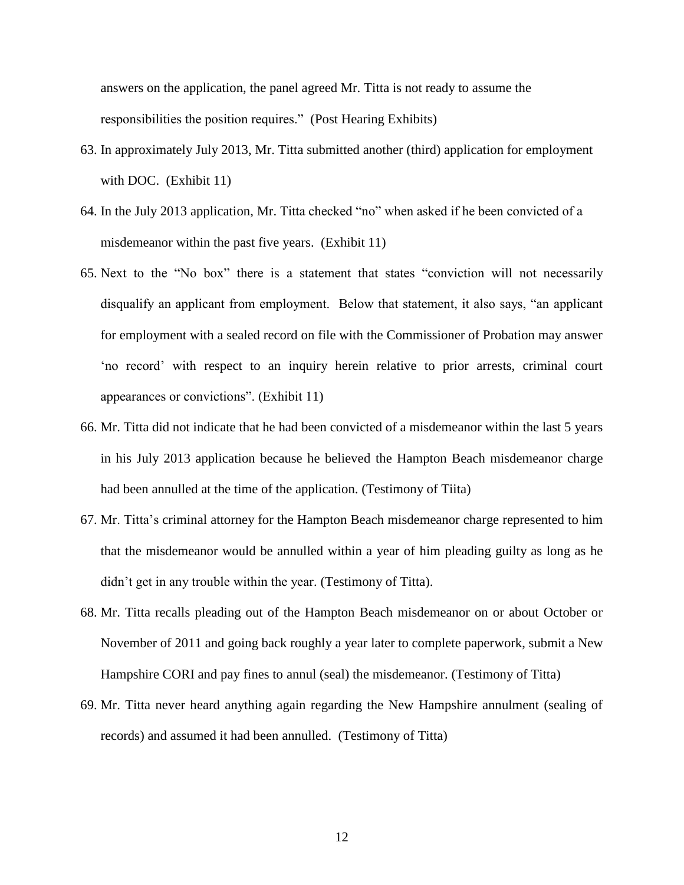answers on the application, the panel agreed Mr. Titta is not ready to assume the responsibilities the position requires." (Post Hearing Exhibits)

- 63. In approximately July 2013, Mr. Titta submitted another (third) application for employment with DOC. (Exhibit 11)
- 64. In the July 2013 application, Mr. Titta checked "no" when asked if he been convicted of a misdemeanor within the past five years. (Exhibit 11)
- 65. Next to the "No box" there is a statement that states "conviction will not necessarily disqualify an applicant from employment. Below that statement, it also says, "an applicant for employment with a sealed record on file with the Commissioner of Probation may answer 'no record' with respect to an inquiry herein relative to prior arrests, criminal court appearances or convictions". (Exhibit 11)
- 66. Mr. Titta did not indicate that he had been convicted of a misdemeanor within the last 5 years in his July 2013 application because he believed the Hampton Beach misdemeanor charge had been annulled at the time of the application. (Testimony of Tiita)
- 67. Mr. Titta's criminal attorney for the Hampton Beach misdemeanor charge represented to him that the misdemeanor would be annulled within a year of him pleading guilty as long as he didn't get in any trouble within the year. (Testimony of Titta).
- 68. Mr. Titta recalls pleading out of the Hampton Beach misdemeanor on or about October or November of 2011 and going back roughly a year later to complete paperwork, submit a New Hampshire CORI and pay fines to annul (seal) the misdemeanor. (Testimony of Titta)
- 69. Mr. Titta never heard anything again regarding the New Hampshire annulment (sealing of records) and assumed it had been annulled. (Testimony of Titta)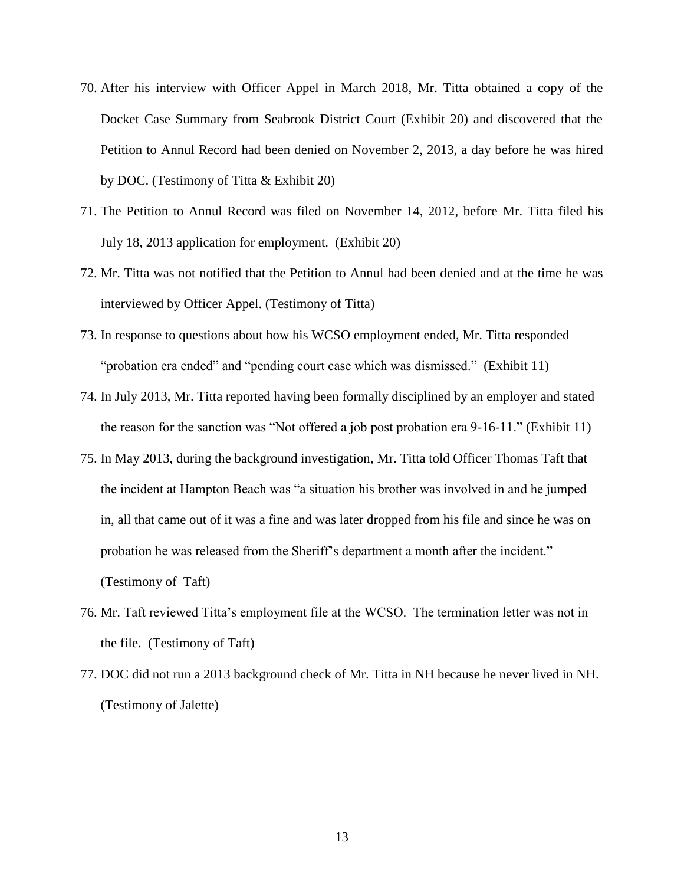- 70. After his interview with Officer Appel in March 2018, Mr. Titta obtained a copy of the Docket Case Summary from Seabrook District Court (Exhibit 20) and discovered that the Petition to Annul Record had been denied on November 2, 2013, a day before he was hired by DOC. (Testimony of Titta & Exhibit 20)
- 71. The Petition to Annul Record was filed on November 14, 2012, before Mr. Titta filed his July 18, 2013 application for employment. (Exhibit 20)
- 72. Mr. Titta was not notified that the Petition to Annul had been denied and at the time he was interviewed by Officer Appel. (Testimony of Titta)
- 73. In response to questions about how his WCSO employment ended, Mr. Titta responded "probation era ended" and "pending court case which was dismissed." (Exhibit 11)
- 74. In July 2013, Mr. Titta reported having been formally disciplined by an employer and stated the reason for the sanction was "Not offered a job post probation era 9-16-11." (Exhibit 11)
- 75. In May 2013, during the background investigation, Mr. Titta told Officer Thomas Taft that the incident at Hampton Beach was "a situation his brother was involved in and he jumped in, all that came out of it was a fine and was later dropped from his file and since he was on probation he was released from the Sheriff's department a month after the incident." (Testimony of Taft)
- 76. Mr. Taft reviewed Titta's employment file at the WCSO. The termination letter was not in the file. (Testimony of Taft)
- 77. DOC did not run a 2013 background check of Mr. Titta in NH because he never lived in NH. (Testimony of Jalette)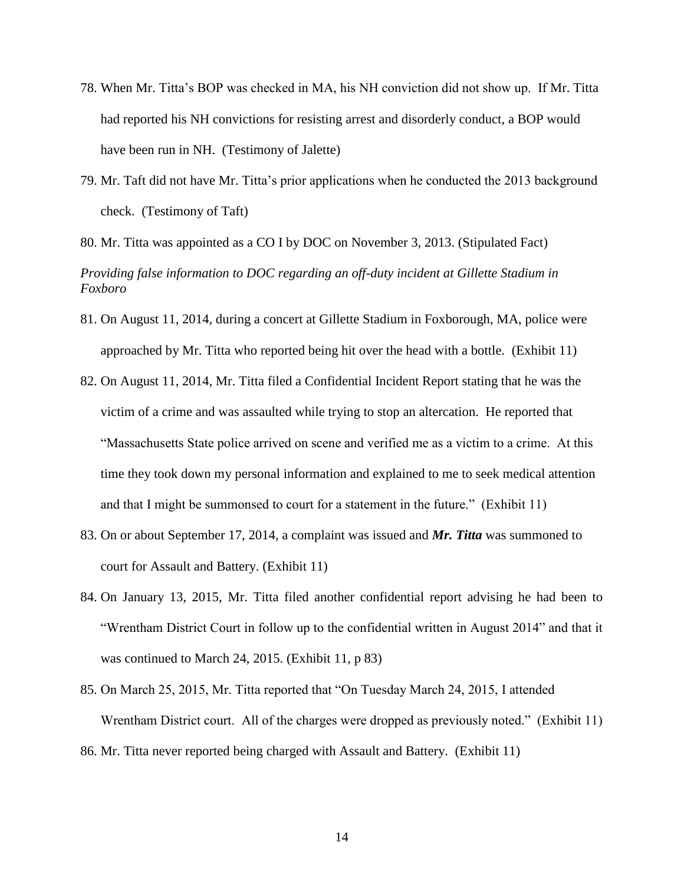- 78. When Mr. Titta's BOP was checked in MA, his NH conviction did not show up. If Mr. Titta had reported his NH convictions for resisting arrest and disorderly conduct, a BOP would have been run in NH. (Testimony of Jalette)
- 79. Mr. Taft did not have Mr. Titta's prior applications when he conducted the 2013 background check. (Testimony of Taft)

80. Mr. Titta was appointed as a CO I by DOC on November 3, 2013. (Stipulated Fact)

*Providing false information to DOC regarding an off-duty incident at Gillette Stadium in Foxboro*

- 81. On August 11, 2014, during a concert at Gillette Stadium in Foxborough, MA, police were approached by Mr. Titta who reported being hit over the head with a bottle. (Exhibit 11)
- 82. On August 11, 2014, Mr. Titta filed a Confidential Incident Report stating that he was the victim of a crime and was assaulted while trying to stop an altercation. He reported that "Massachusetts State police arrived on scene and verified me as a victim to a crime. At this time they took down my personal information and explained to me to seek medical attention and that I might be summonsed to court for a statement in the future." (Exhibit 11)
- 83. On or about September 17, 2014, a complaint was issued and *Mr. Titta* was summoned to court for Assault and Battery. (Exhibit 11)
- 84. On January 13, 2015, Mr. Titta filed another confidential report advising he had been to "Wrentham District Court in follow up to the confidential written in August 2014" and that it was continued to March 24, 2015. (Exhibit 11, p 83)
- 85. On March 25, 2015, Mr. Titta reported that "On Tuesday March 24, 2015, I attended Wrentham District court. All of the charges were dropped as previously noted." (Exhibit 11) 86. Mr. Titta never reported being charged with Assault and Battery. (Exhibit 11)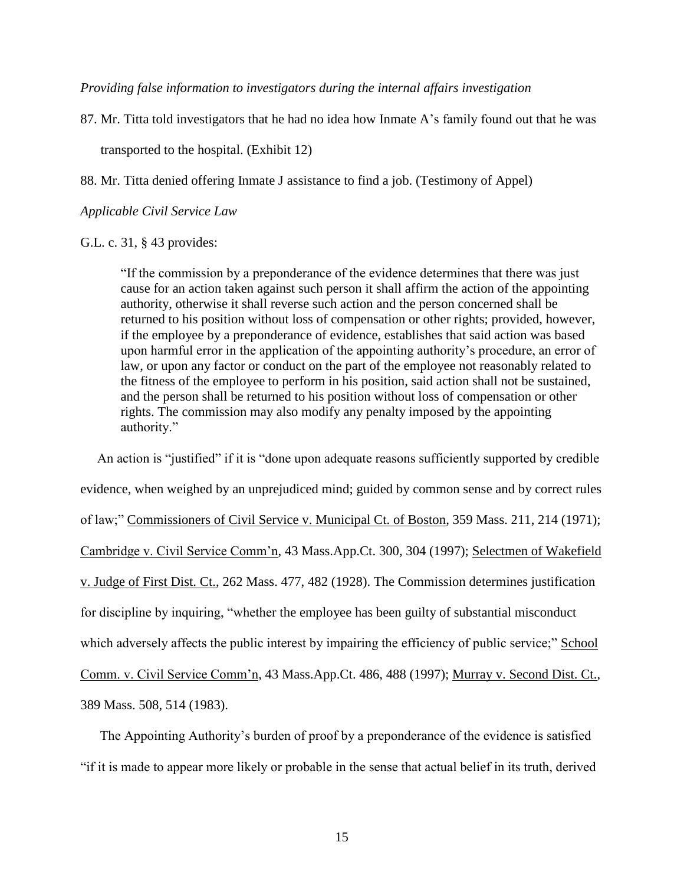*Providing false information to investigators during the internal affairs investigation*

87. Mr. Titta told investigators that he had no idea how Inmate A's family found out that he was

transported to the hospital. (Exhibit 12)

88. Mr. Titta denied offering Inmate J assistance to find a job. (Testimony of Appel)

*Applicable Civil Service Law*

G.L. c. 31, § 43 provides:

"If the commission by a preponderance of the evidence determines that there was just cause for an action taken against such person it shall affirm the action of the appointing authority, otherwise it shall reverse such action and the person concerned shall be returned to his position without loss of compensation or other rights; provided, however, if the employee by a preponderance of evidence, establishes that said action was based upon harmful error in the application of the appointing authority's procedure, an error of law, or upon any factor or conduct on the part of the employee not reasonably related to the fitness of the employee to perform in his position, said action shall not be sustained, and the person shall be returned to his position without loss of compensation or other rights. The commission may also modify any penalty imposed by the appointing authority."

 An action is "justified" if it is "done upon adequate reasons sufficiently supported by credible evidence, when weighed by an unprejudiced mind; guided by common sense and by correct rules of law;" Commissioners of Civil Service v. Municipal Ct. of Boston, 359 Mass. 211, 214 (1971); Cambridge v. Civil Service Comm'n, 43 Mass.App.Ct. 300, 304 (1997); Selectmen of Wakefield v. Judge of First Dist. Ct., 262 Mass. 477, 482 (1928). The Commission determines justification for discipline by inquiring, "whether the employee has been guilty of substantial misconduct which adversely affects the public interest by impairing the efficiency of public service;" School Comm. v. Civil Service Comm'n, 43 Mass.App.Ct. 486, 488 (1997); Murray v. Second Dist. Ct., 389 Mass. 508, 514 (1983).

The Appointing Authority's burden of proof by a preponderance of the evidence is satisfied "if it is made to appear more likely or probable in the sense that actual belief in its truth, derived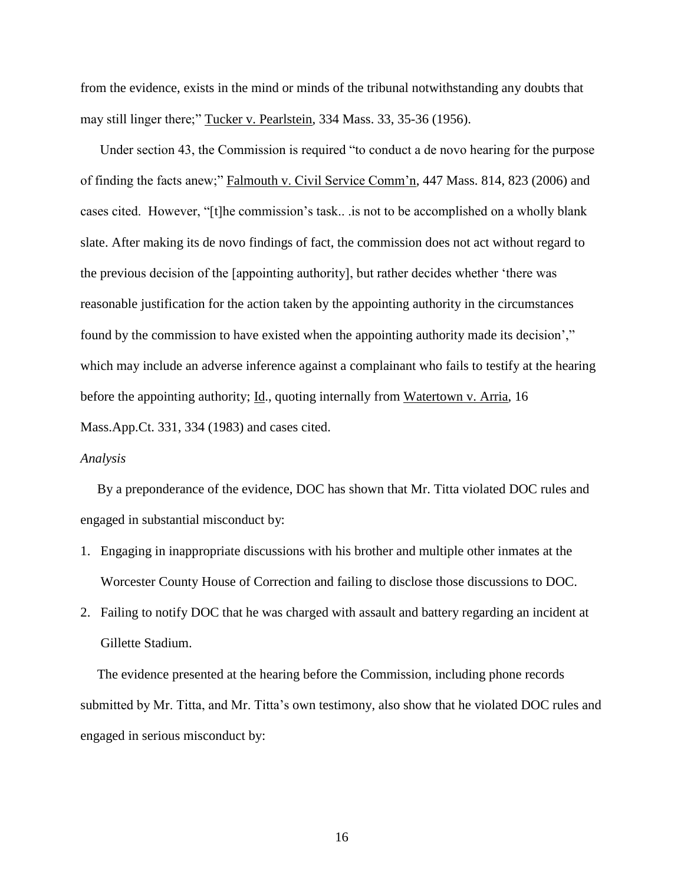from the evidence, exists in the mind or minds of the tribunal notwithstanding any doubts that may still linger there;" Tucker v. Pearlstein, 334 Mass. 33, 35-36 (1956).

Under section 43, the Commission is required "to conduct a de novo hearing for the purpose of finding the facts anew;" Falmouth v. Civil Service Comm'n, 447 Mass. 814, 823 (2006) and cases cited. However, "[t]he commission's task.. .is not to be accomplished on a wholly blank slate. After making its de novo findings of fact, the commission does not act without regard to the previous decision of the [appointing authority], but rather decides whether 'there was reasonable justification for the action taken by the appointing authority in the circumstances found by the commission to have existed when the appointing authority made its decision'," which may include an adverse inference against a complainant who fails to testify at the hearing before the appointing authority; Id., quoting internally from Watertown v. Arria, 16 Mass.App.Ct. 331, 334 (1983) and cases cited.

### *Analysis*

 By a preponderance of the evidence, DOC has shown that Mr. Titta violated DOC rules and engaged in substantial misconduct by:

- 1. Engaging in inappropriate discussions with his brother and multiple other inmates at the Worcester County House of Correction and failing to disclose those discussions to DOC.
- 2. Failing to notify DOC that he was charged with assault and battery regarding an incident at Gillette Stadium.

 The evidence presented at the hearing before the Commission, including phone records submitted by Mr. Titta, and Mr. Titta's own testimony, also show that he violated DOC rules and engaged in serious misconduct by: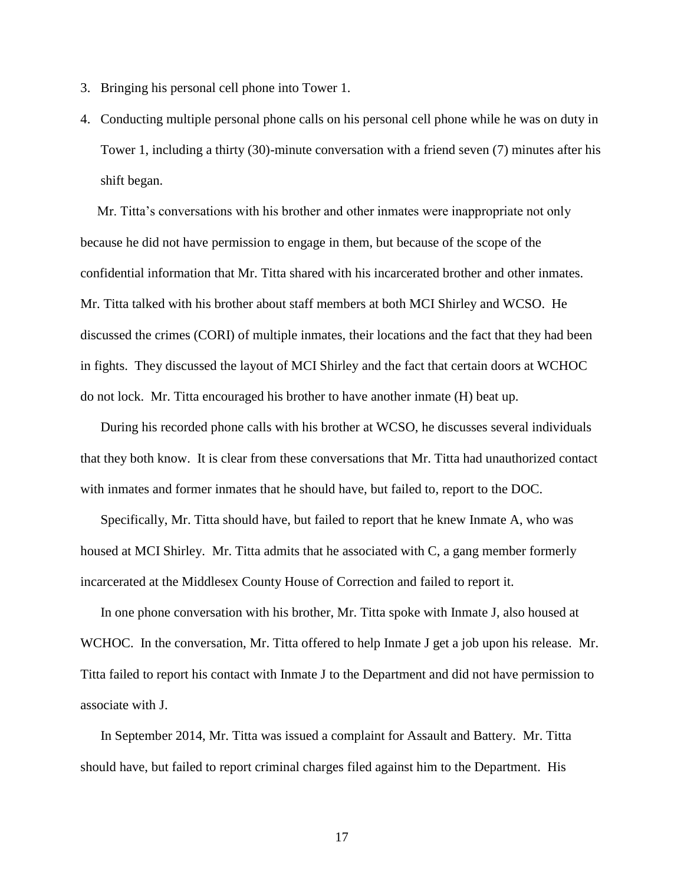- 3. Bringing his personal cell phone into Tower 1.
- 4. Conducting multiple personal phone calls on his personal cell phone while he was on duty in Tower 1, including a thirty (30)-minute conversation with a friend seven (7) minutes after his shift began.

 Mr. Titta's conversations with his brother and other inmates were inappropriate not only because he did not have permission to engage in them, but because of the scope of the confidential information that Mr. Titta shared with his incarcerated brother and other inmates. Mr. Titta talked with his brother about staff members at both MCI Shirley and WCSO. He discussed the crimes (CORI) of multiple inmates, their locations and the fact that they had been in fights. They discussed the layout of MCI Shirley and the fact that certain doors at WCHOC do not lock. Mr. Titta encouraged his brother to have another inmate (H) beat up.

During his recorded phone calls with his brother at WCSO, he discusses several individuals that they both know. It is clear from these conversations that Mr. Titta had unauthorized contact with inmates and former inmates that he should have, but failed to, report to the DOC.

Specifically, Mr. Titta should have, but failed to report that he knew Inmate A, who was housed at MCI Shirley. Mr. Titta admits that he associated with C, a gang member formerly incarcerated at the Middlesex County House of Correction and failed to report it.

In one phone conversation with his brother, Mr. Titta spoke with Inmate J, also housed at WCHOC. In the conversation, Mr. Titta offered to help Inmate J get a job upon his release. Mr. Titta failed to report his contact with Inmate J to the Department and did not have permission to associate with J.

In September 2014, Mr. Titta was issued a complaint for Assault and Battery. Mr. Titta should have, but failed to report criminal charges filed against him to the Department. His

17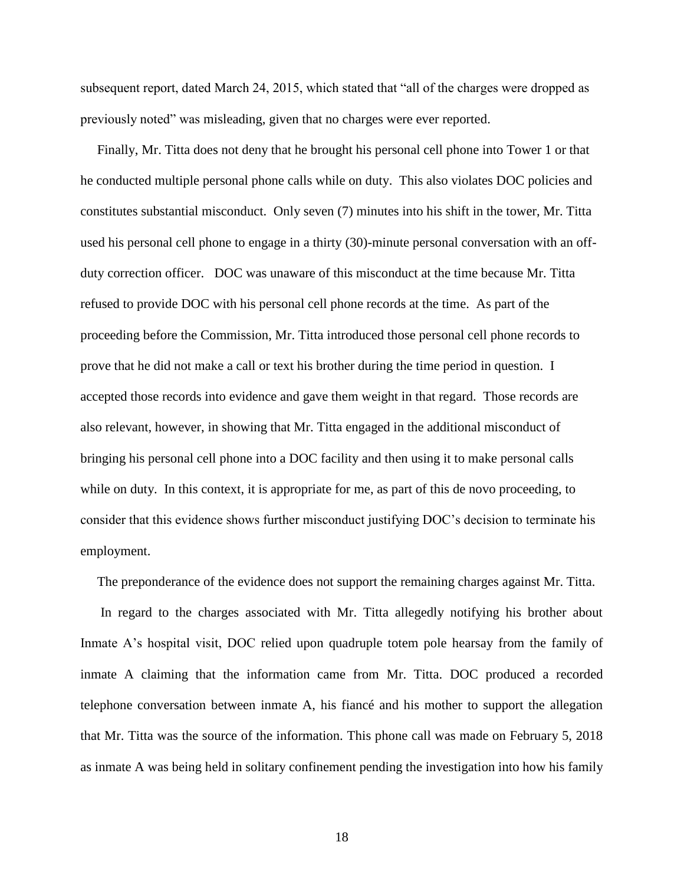subsequent report, dated March 24, 2015, which stated that "all of the charges were dropped as previously noted" was misleading, given that no charges were ever reported.

 Finally, Mr. Titta does not deny that he brought his personal cell phone into Tower 1 or that he conducted multiple personal phone calls while on duty. This also violates DOC policies and constitutes substantial misconduct. Only seven (7) minutes into his shift in the tower, Mr. Titta used his personal cell phone to engage in a thirty (30)-minute personal conversation with an offduty correction officer. DOC was unaware of this misconduct at the time because Mr. Titta refused to provide DOC with his personal cell phone records at the time. As part of the proceeding before the Commission, Mr. Titta introduced those personal cell phone records to prove that he did not make a call or text his brother during the time period in question. I accepted those records into evidence and gave them weight in that regard. Those records are also relevant, however, in showing that Mr. Titta engaged in the additional misconduct of bringing his personal cell phone into a DOC facility and then using it to make personal calls while on duty. In this context, it is appropriate for me, as part of this de novo proceeding, to consider that this evidence shows further misconduct justifying DOC's decision to terminate his employment.

The preponderance of the evidence does not support the remaining charges against Mr. Titta.

 In regard to the charges associated with Mr. Titta allegedly notifying his brother about Inmate A's hospital visit, DOC relied upon quadruple totem pole hearsay from the family of inmate A claiming that the information came from Mr. Titta. DOC produced a recorded telephone conversation between inmate A, his fiancé and his mother to support the allegation that Mr. Titta was the source of the information. This phone call was made on February 5, 2018 as inmate A was being held in solitary confinement pending the investigation into how his family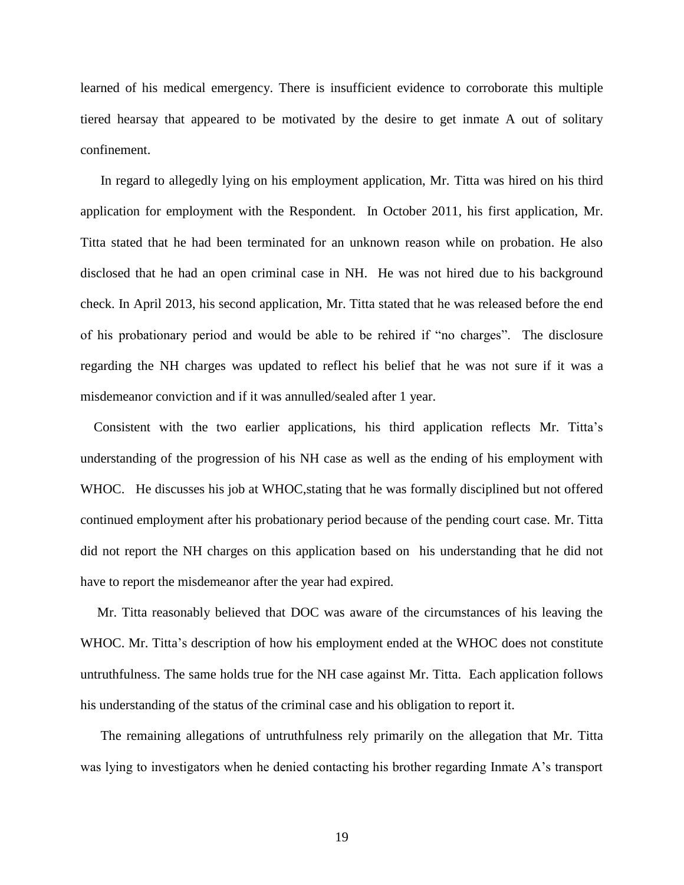learned of his medical emergency. There is insufficient evidence to corroborate this multiple tiered hearsay that appeared to be motivated by the desire to get inmate A out of solitary confinement.

 In regard to allegedly lying on his employment application, Mr. Titta was hired on his third application for employment with the Respondent. In October 2011, his first application, Mr. Titta stated that he had been terminated for an unknown reason while on probation. He also disclosed that he had an open criminal case in NH. He was not hired due to his background check. In April 2013, his second application, Mr. Titta stated that he was released before the end of his probationary period and would be able to be rehired if "no charges". The disclosure regarding the NH charges was updated to reflect his belief that he was not sure if it was a misdemeanor conviction and if it was annulled/sealed after 1 year.

 Consistent with the two earlier applications, his third application reflects Mr. Titta's understanding of the progression of his NH case as well as the ending of his employment with WHOC. He discusses his job at WHOC, stating that he was formally disciplined but not offered continued employment after his probationary period because of the pending court case. Mr. Titta did not report the NH charges on this application based on his understanding that he did not have to report the misdemeanor after the year had expired.

 Mr. Titta reasonably believed that DOC was aware of the circumstances of his leaving the WHOC. Mr. Titta's description of how his employment ended at the WHOC does not constitute untruthfulness. The same holds true for the NH case against Mr. Titta. Each application follows his understanding of the status of the criminal case and his obligation to report it.

 The remaining allegations of untruthfulness rely primarily on the allegation that Mr. Titta was lying to investigators when he denied contacting his brother regarding Inmate A's transport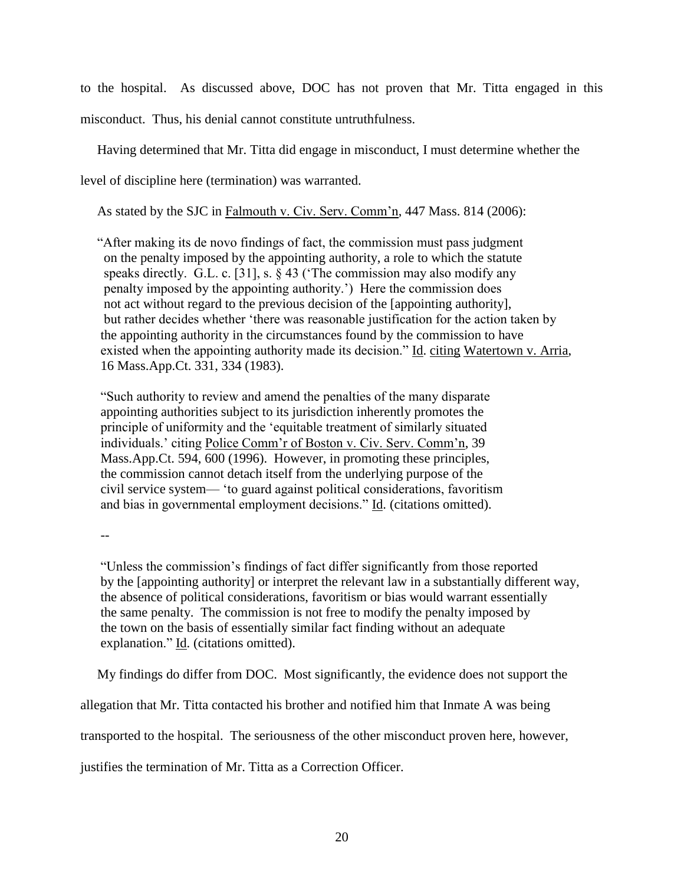to the hospital. As discussed above, DOC has not proven that Mr. Titta engaged in this

misconduct. Thus, his denial cannot constitute untruthfulness.

Having determined that Mr. Titta did engage in misconduct, I must determine whether the

level of discipline here (termination) was warranted.

As stated by the SJC in Falmouth v. Civ. Serv. Comm'n, 447 Mass. 814 (2006):

 "After making its de novo findings of fact, the commission must pass judgment on the penalty imposed by the appointing authority, a role to which the statute speaks directly. G.L. c. [31], s. § 43 ('The commission may also modify any penalty imposed by the appointing authority.') Here the commission does not act without regard to the previous decision of the [appointing authority], but rather decides whether 'there was reasonable justification for the action taken by the appointing authority in the circumstances found by the commission to have existed when the appointing authority made its decision." Id. citing Watertown v. Arria, 16 Mass.App.Ct. 331, 334 (1983).

"Such authority to review and amend the penalties of the many disparate appointing authorities subject to its jurisdiction inherently promotes the principle of uniformity and the 'equitable treatment of similarly situated individuals.' citing Police Comm'r of Boston v. Civ. Serv. Comm'n, 39 Mass.App.Ct. 594, 600 (1996). However, in promoting these principles, the commission cannot detach itself from the underlying purpose of the civil service system— 'to guard against political considerations, favoritism and bias in governmental employment decisions." Id. (citations omitted).

"Unless the commission's findings of fact differ significantly from those reported by the [appointing authority] or interpret the relevant law in a substantially different way, the absence of political considerations, favoritism or bias would warrant essentially the same penalty. The commission is not free to modify the penalty imposed by the town on the basis of essentially similar fact finding without an adequate explanation." Id. (citations omitted).

My findings do differ from DOC. Most significantly, the evidence does not support the

allegation that Mr. Titta contacted his brother and notified him that Inmate A was being

transported to the hospital. The seriousness of the other misconduct proven here, however,

justifies the termination of Mr. Titta as a Correction Officer.

<sup>--</sup>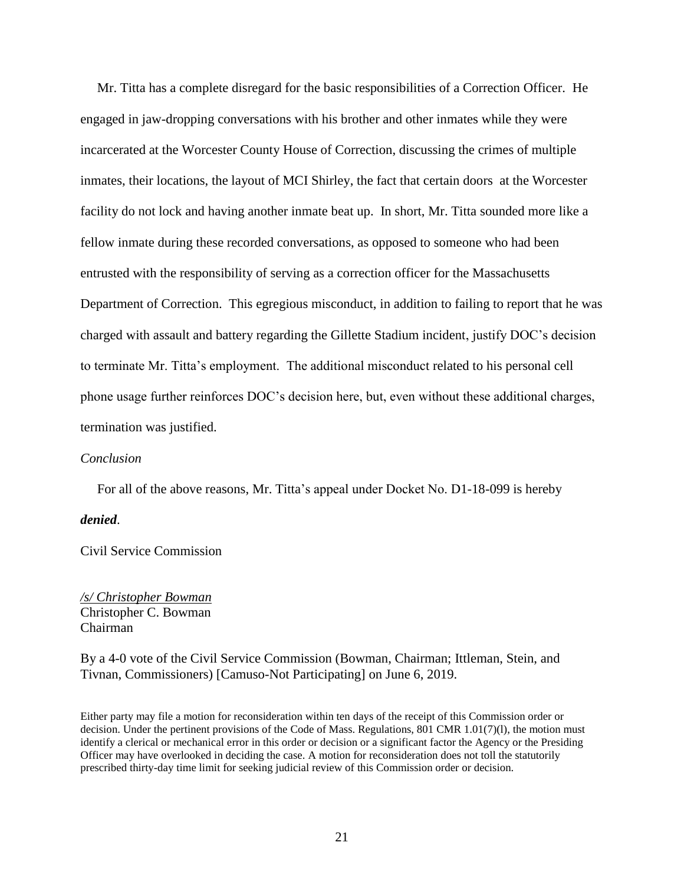Mr. Titta has a complete disregard for the basic responsibilities of a Correction Officer. He engaged in jaw-dropping conversations with his brother and other inmates while they were incarcerated at the Worcester County House of Correction, discussing the crimes of multiple inmates, their locations, the layout of MCI Shirley, the fact that certain doors at the Worcester facility do not lock and having another inmate beat up. In short, Mr. Titta sounded more like a fellow inmate during these recorded conversations, as opposed to someone who had been entrusted with the responsibility of serving as a correction officer for the Massachusetts Department of Correction. This egregious misconduct, in addition to failing to report that he was charged with assault and battery regarding the Gillette Stadium incident, justify DOC's decision to terminate Mr. Titta's employment. The additional misconduct related to his personal cell phone usage further reinforces DOC's decision here, but, even without these additional charges, termination was justified.

### *Conclusion*

For all of the above reasons, Mr. Titta's appeal under Docket No. D1-18-099 is hereby

#### *denied*.

Civil Service Commission

*/s/ Christopher Bowman* Christopher C. Bowman Chairman

By a 4-0 vote of the Civil Service Commission (Bowman, Chairman; Ittleman, Stein, and Tivnan, Commissioners) [Camuso-Not Participating] on June 6, 2019.

Either party may file a motion for reconsideration within ten days of the receipt of this Commission order or decision. Under the pertinent provisions of the Code of Mass. Regulations, 801 CMR 1.01(7)(l), the motion must identify a clerical or mechanical error in this order or decision or a significant factor the Agency or the Presiding Officer may have overlooked in deciding the case. A motion for reconsideration does not toll the statutorily prescribed thirty-day time limit for seeking judicial review of this Commission order or decision.